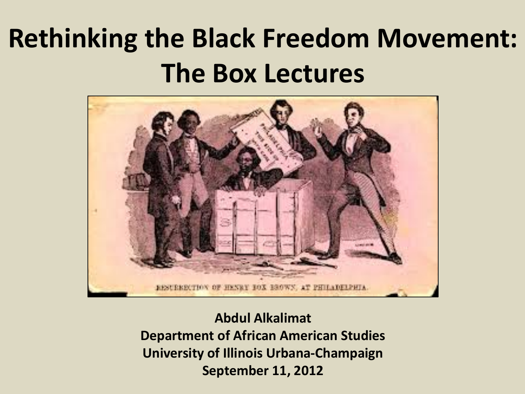### **Rethinking the Black Freedom Movement: The Box Lectures**



**Abdul Alkalimat Department of African American Studies University of Illinois Urbana-Champaign September 11, 2012**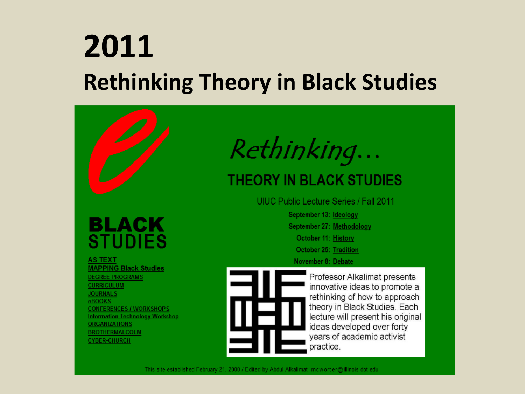#### **2011 Rethinking Theory in Black Studies**

#### BLACK **STUDIES**

**AS TEXT MAPPING Black Studies DEGREE PROGRAMS CURRICULUM JOURNALS** eBOOKS **CONFERENCES / WORKSHOPS Information Technology Workshop ORGANIZATIONS BROTHERMALCOLM CYBER-CHURCH** 

### Rethinking...

#### **THEORY IN BLACK STUDIES**

UIUC Public Lecture Series / Fall 2011

September 13: Ideology September 27: Methodology October 11: History **October 25: Tradition** November 8: Debate



Professor Alkalimat presents innovative ideas to promote a rethinking of how to approach theory in Black Studies. Each lecture will present his original ideas developed over forty years of academic activist practice.

This site established February 21, 2000 / Edited by Abdul Alkalimat mowort er@ illinois dot edu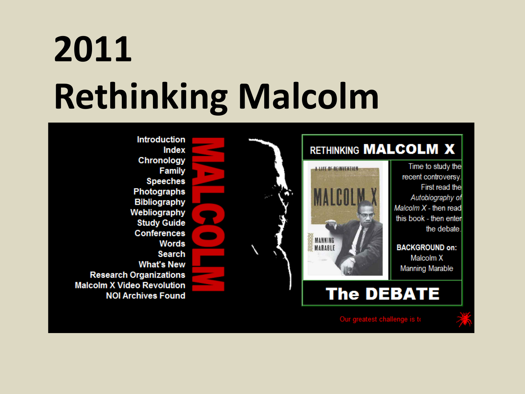## **2011 Rethinking Malcolm**



Our greatest challenge is to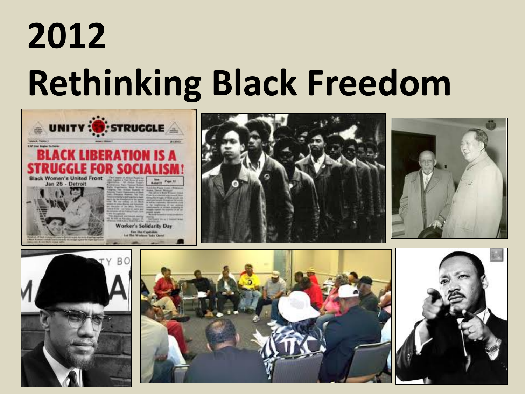## **2012 Rethinking Black Freedom**







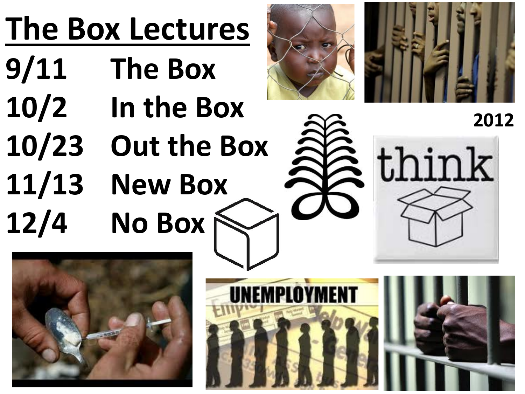### **The Box Lectures**

- **9/11 The Box 10/2 In the Box**
- 
- **10/23 Out the Box**
- **11/13 New Box**

**12/4 No Box**





**2012**







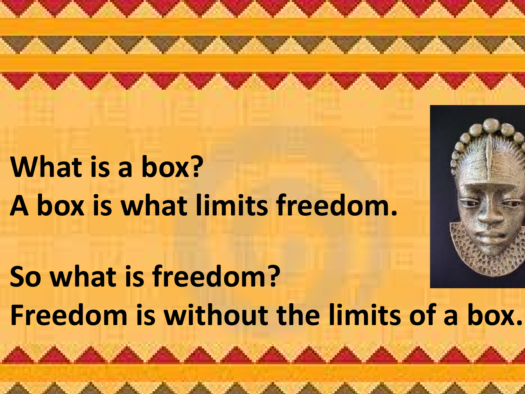**What is a box? A box is what limits freedom. So what is freedom? Freedom is without the limits of a box.**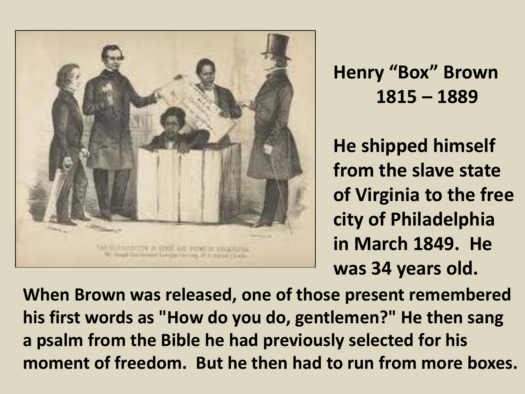

#### **Henry "Box" Brown 1815 – 1889**

**He shipped himself from the slave state of Virginia to the free city of Philadelphia in March 1849. He was 34 years old.**

**When Brown was released, one of those present remembered his first words as "How do you do, gentlemen?" He then sang a psalm from the Bible he had previously selected for his moment of freedom. But he then had to run from more boxes.**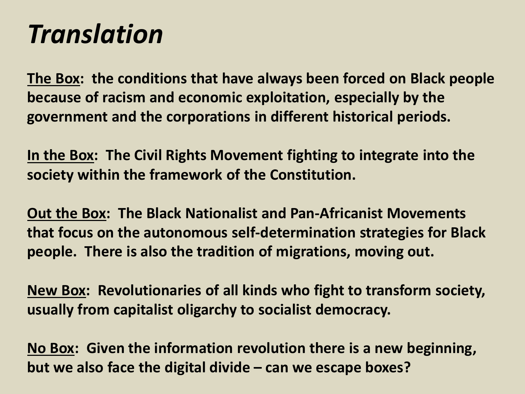#### *Translation*

**The Box: the conditions that have always been forced on Black people because of racism and economic exploitation, especially by the government and the corporations in different historical periods.**

**In the Box: The Civil Rights Movement fighting to integrate into the society within the framework of the Constitution.**

**Out the Box: The Black Nationalist and Pan-Africanist Movements that focus on the autonomous self-determination strategies for Black people. There is also the tradition of migrations, moving out.**

**New Box: Revolutionaries of all kinds who fight to transform society, usually from capitalist oligarchy to socialist democracy.**

**No Box: Given the information revolution there is a new beginning, but we also face the digital divide – can we escape boxes?**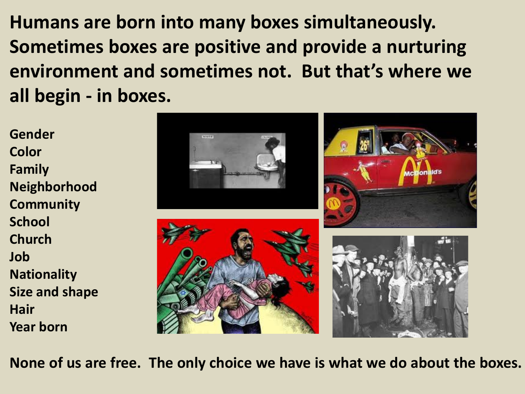**Humans are born into many boxes simultaneously. Sometimes boxes are positive and provide a nurturing environment and sometimes not. But that's where we all begin - in boxes.**

**Gender Color Family Neighborhood Community School Church Job Nationality Size and shape Hair Year born**



**None of us are free. The only choice we have is what we do about the boxes.**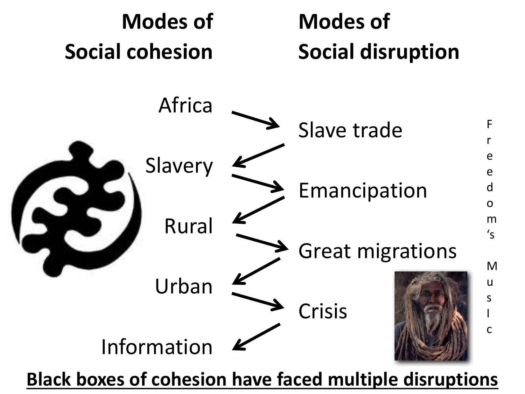

**Black boxes of cohesion have faced multiple disruptions**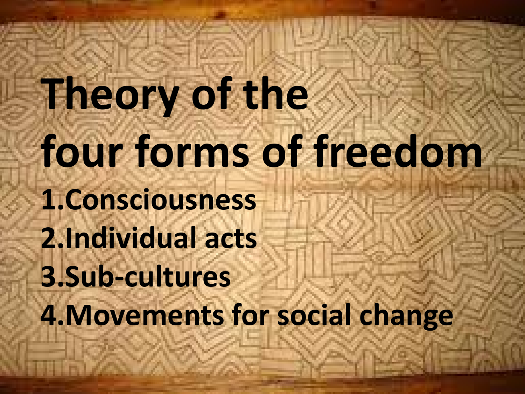**Theory of the four forms of freedom 1.Consciousness 2.Individual acts 3.Sub-cultures 4.Movements for social change**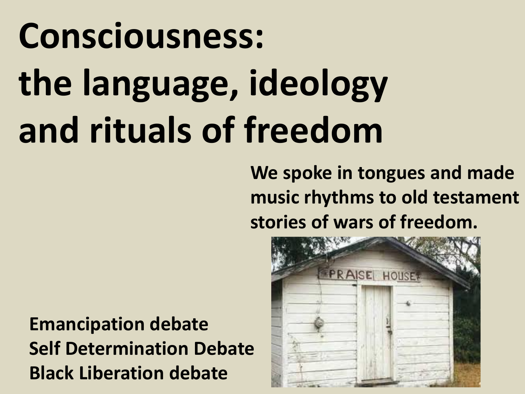# **Consciousness: the language, ideology and rituals of freedom**

**We spoke in tongues and made music rhythms to old testament stories of wars of freedom.** 

**Emancipation debate Self Determination Debate Black Liberation debate**

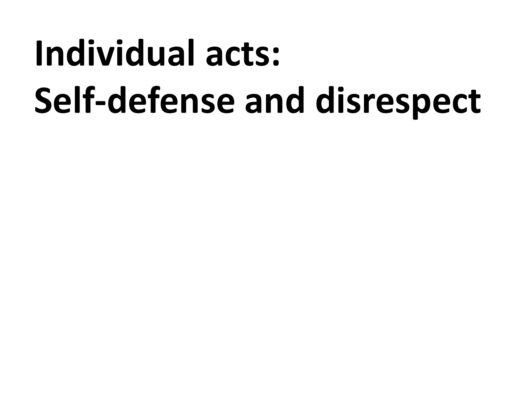## **Individual acts: Self-defense and disrespect**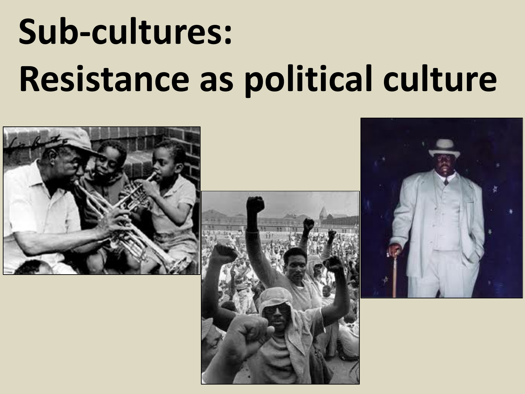## **Sub-cultures: Resistance as political culture**





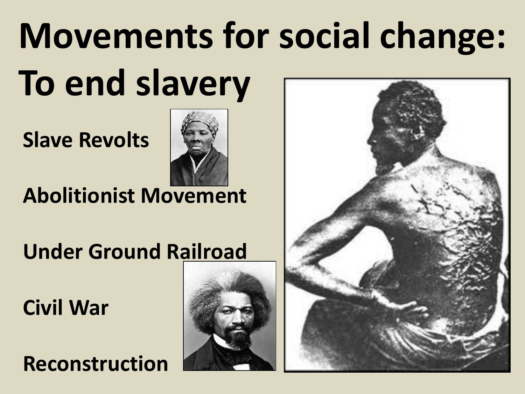# **Movements for social change: To end slavery**

**Slave Revolts**



#### **Abolitionist Movement**

**Under Ground Railroad**

**Civil War**

**Reconstruction**



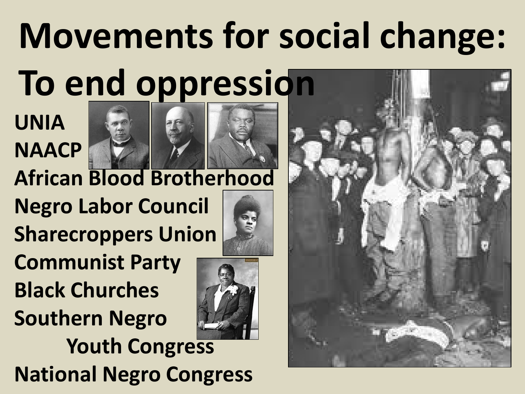# **Movements for social change:**

### **To end oppression**

**UNIA NAACP**





**African Blood Brotherhood**

**Negro Labor Council Sharecroppers Union**

**Communist Party Black Churches Southern Negro** 



**Youth Congress National Negro Congress**

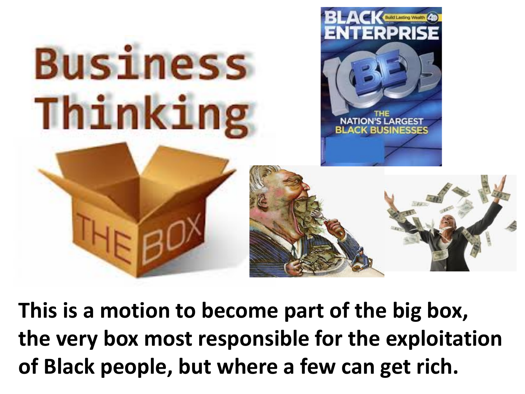

**This is a motion to become part of the big box, the very box most responsible for the exploitation of Black people, but where a few can get rich.**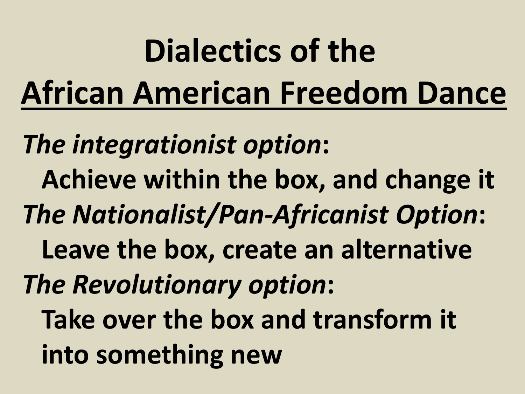### **Dialectics of the African American Freedom Dance** *The integrationist option***: Achieve within the box, and change it** *The Nationalist/Pan-Africanist Option***: Leave the box, create an alternative** *The Revolutionary option***: Take over the box and transform it into something new**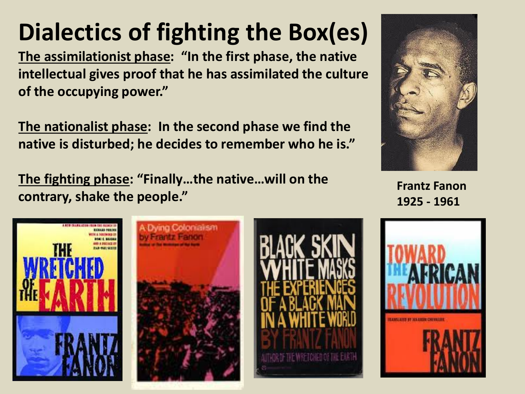#### **Dialectics of fighting the Box(es)**

**The assimilationist phase: "In the first phase, the native intellectual gives proof that he has assimilated the culture of the occupying power."**

**The nationalist phase: In the second phase we find the native is disturbed; he decides to remember who he is."**

**The fighting phase: "Finally…the native…will on the contrary, shake the people."**



**Frantz Fanon 1925 - 1961**







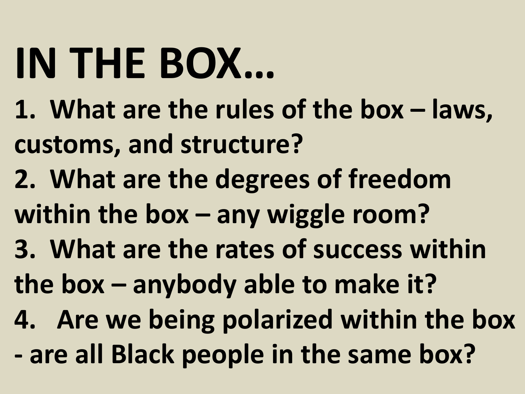# **IN THE BOX…**

- **1. What are the rules of the box – laws, customs, and structure?**
- **2. What are the degrees of freedom**
- **within the box – any wiggle room?**
- **3. What are the rates of success within**
- **the box – anybody able to make it?**
- **4. Are we being polarized within the box**
- **- are all Black people in the same box?**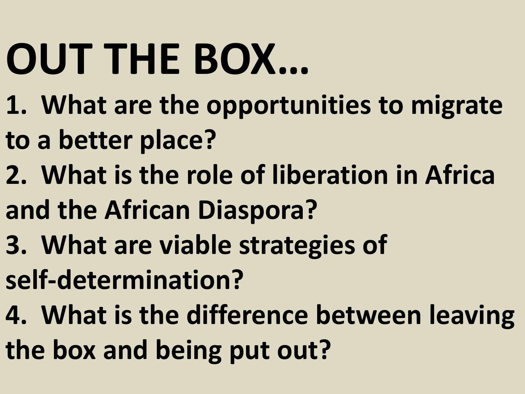# **OUT THE BOX…**

- **1. What are the opportunities to migrate**
- **to a better place?**
- **2. What is the role of liberation in Africa**
- **and the African Diaspora?**
- **3. What are viable strategies of**
- **self-determination?**
- **4. What is the difference between leaving**
- **the box and being put out?**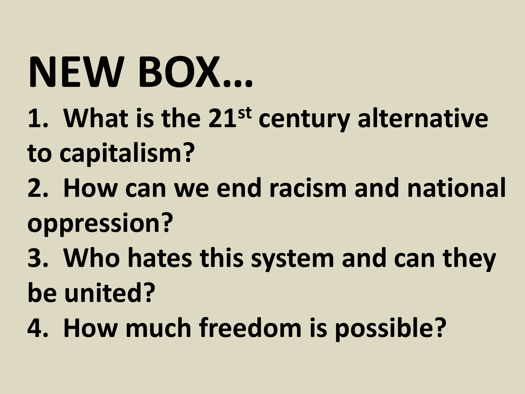# **NEW BOX…**

- **1. What is the 21st century alternative to capitalism?**
- **2. How can we end racism and national oppression?**
- **3. Who hates this system and can they be united?**
- **4. How much freedom is possible?**